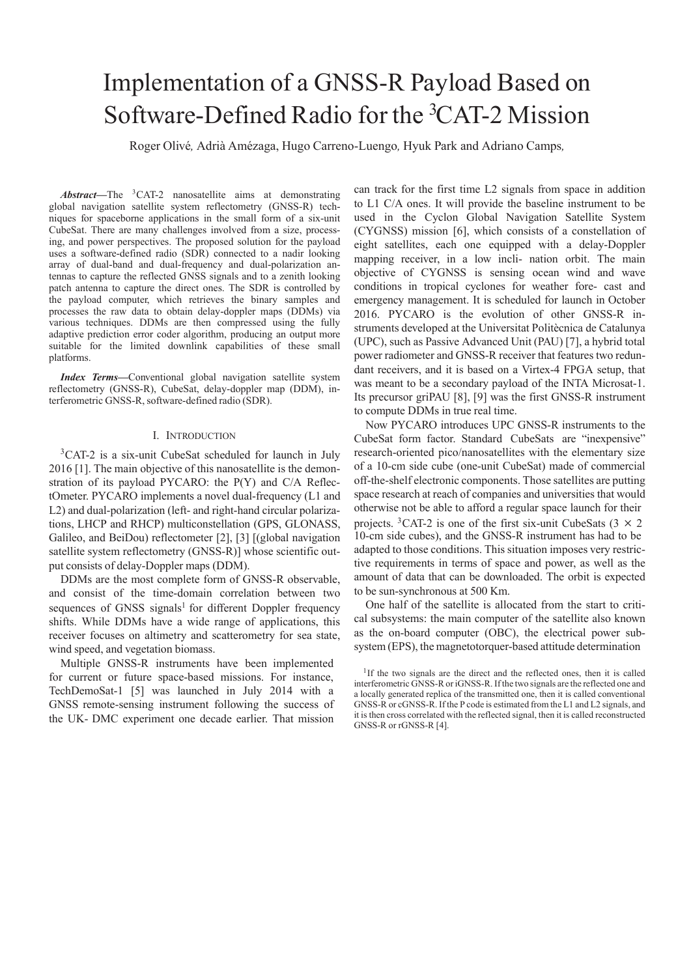# Implementation of a GNSS-R Payload Based on Software-Defined Radio for the <sup>3</sup>CAT-2 Mission

Roger Olive´*,* Adria` Ame´zaga, Hugo Carreno-Luengo*,* Hyuk Park and Adriano Camps*,* 

*Abstract***—**The 3CAT-2 nanosatellite aims at demonstrating global navigation satellite system reflectometry (GNSS-R) techniques for spaceborne applications in the small form of a six-unit CubeSat. There are many challenges involved from a size, processing, and power perspectives. The proposed solution for the payload uses a software-defined radio (SDR) connected to a nadir looking array of dual-band and dual-frequency and dual-polarization antennas to capture the reflected GNSS signals and to a zenith looking patch antenna to capture the direct ones. The SDR is controlled by the payload computer, which retrieves the binary samples and processes the raw data to obtain delay-doppler maps (DDMs) via various techniques. DDMs are then compressed using the fully adaptive prediction error coder algorithm, producing an output more suitable for the limited downlink capabilities of these small platforms.

*Index Terms***—**Conventional global navigation satellite system reflectometry (GNSS-R), CubeSat, delay-doppler map (DDM), interferometric GNSS-R, software-defined radio (SDR).

## I. INTRODUCTION

3CAT-2 is a six-unit CubeSat scheduled for launch in July 2016 [1]. The main objective of this nanosatellite is the demonstration of its payload PYCARO: the P(Y) and C/A ReflectOmeter. PYCARO implements a novel dual-frequency (L1 and L2) and dual-polarization (left- and right-hand circular polarizations, LHCP and RHCP) multiconstellation (GPS, GLONASS, Galileo, and BeiDou) reflectometer [2], [3] [(global navigation satellite system reflectometry (GNSS-R)] whose scientific output consists of delay-Doppler maps (DDM).

DDMs are the most complete form of GNSS-R observable, and consist of the time-domain correlation between two sequences of GNSS signals<sup>1</sup> for different Doppler frequency shifts. While DDMs have a wide range of applications, this receiver focuses on altimetry and scatterometry for sea state, wind speed, and vegetation biomass.

Multiple GNSS-R instruments have been implemented for current or future space-based missions. For instance, TechDemoSat-1 [5] was launched in July 2014 with a GNSS remote-sensing instrument following the success of the UK- DMC experiment one decade earlier. That mission

can track for the first time L2 signals from space in addition to L1 C/A ones. It will provide the baseline instrument to be used in the Cyclon Global Navigation Satellite System (CYGNSS) mission [6], which consists of a constellation of eight satellites, each one equipped with a delay-Doppler mapping receiver, in a low incli- nation orbit. The main objective of CYGNSS is sensing ocean wind and wave conditions in tropical cyclones for weather fore- cast and emergency management. It is scheduled for launch in October 2016. PYCARO is the evolution of other GNSS-R instruments developed at the Universitat Politècnica de Catalunya (UPC), such as Passive Advanced Unit (PAU) [7], a hybrid total power radiometer and GNSS-R receiver that features two redundant receivers, and it is based on a Virtex-4 FPGA setup, that was meant to be a secondary payload of the INTA Microsat-1. Its precursor griPAU [8], [9] was the first GNSS-R instrument to compute DDMs in true real time.

Now PYCARO introduces UPC GNSS-R instruments to the CubeSat form factor. Standard CubeSats are "inexpensive" research-oriented pico/nanosatellites with the elementary size of a 10-cm side cube (one-unit CubeSat) made of commercial off-the-shelf electronic components. Those satellites are putting space research at reach of companies and universities that would otherwise not be able to afford a regular space launch for their projects. <sup>3</sup>CAT-2 is one of the first six-unit CubeSats  $(3 \times 2)$ 10-cm side cubes), and the GNSS-R instrument has had to be adapted to those conditions. This situation imposes very restrictive requirements in terms of space and power, as well as the amount of data that can be downloaded. The orbit is expected to be sun-synchronous at 500 Km.

One half of the satellite is allocated from the start to critical subsystems: the main computer of the satellite also known as the on-board computer (OBC), the electrical power subsystem (EPS), the magnetotorquer-based attitude determination

<sup>&</sup>lt;sup>1</sup>If the two signals are the direct and the reflected ones, then it is called interferometric GNSS-R or iGNSS-R. If the two signals are the reflected one and a locally generated replica of the transmitted one, then it is called conventional GNSS-R or cGNSS-R. If the P code is estimated from the L1 and L2 signals, and it is then cross correlated with the reflected signal, then it is called reconstructed GNSS-R or rGNSS-R [4].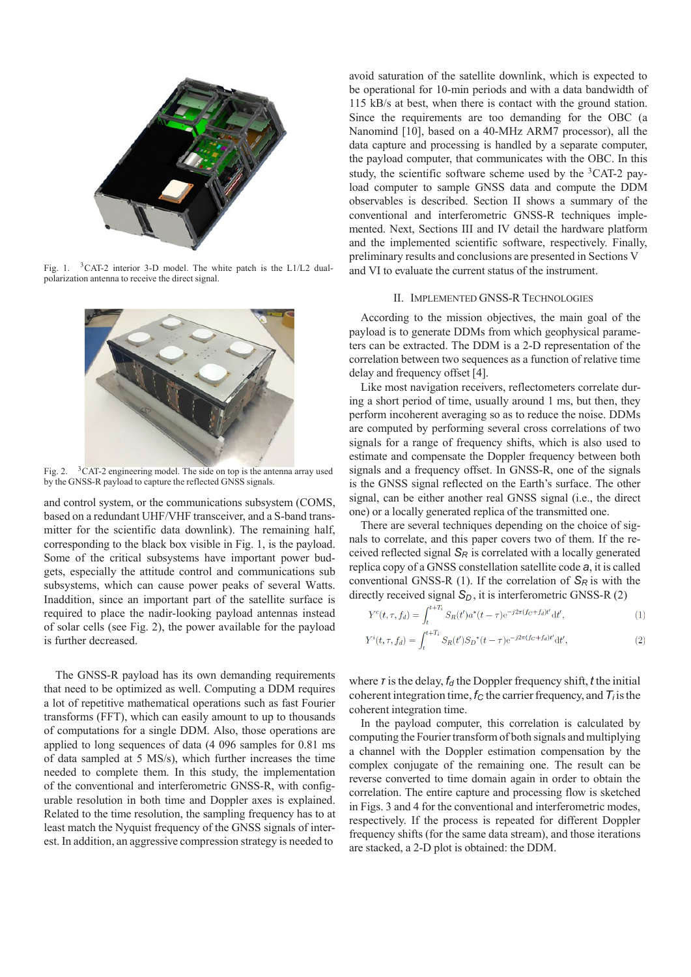

Fig. 1. 3CAT-2 interior 3-D model. The white patch is the L1/L2 dualpolarization antenna to receive the direct signal.



Fig. 2. <sup>3</sup>CAT-2 engineering model. The side on top is the antenna array used by the GNSS-R payload to capture the reflected GNSS signals.

and control system, or the communications subsystem (COMS, based on a redundant UHF/VHF transceiver, and a S-band transmitter for the scientific data downlink). The remaining half, corresponding to the black box visible in Fig. 1, is the payload. Some of the critical subsystems have important power budgets, especially the attitude control and communications sub subsystems, which can cause power peaks of several Watts. Inaddition, since an important part of the satellite surface is required to place the nadir-looking payload antennas instead of solar cells (see Fig. 2), the power available for the payload is further decreased.

The GNSS-R payload has its own demanding requirements that need to be optimized as well. Computing a DDM requires a lot of repetitive mathematical operations such as fast Fourier transforms (FFT), which can easily amount to up to thousands of computations for a single DDM. Also, those operations are applied to long sequences of data (4 096 samples for 0.81 ms of data sampled at 5 MS/s), which further increases the time needed to complete them. In this study, the implementation of the conventional and interferometric GNSS-R, with configurable resolution in both time and Doppler axes is explained. Related to the time resolution, the sampling frequency has to at least match the Nyquist frequency of the GNSS signals of interest. In addition, an aggressive compression strategy is needed to

avoid saturation of the satellite downlink, which is expected to be operational for 10-min periods and with a data bandwidth of 115 kB/s at best, when there is contact with the ground station. Since the requirements are too demanding for the OBC (a Nanomind [10], based on a 40-MHz ARM7 processor), all the data capture and processing is handled by a separate computer, the payload computer, that communicates with the OBC. In this study, the scientific software scheme used by the  ${}^{3}$ CAT-2 payload computer to sample GNSS data and compute the DDM observables is described. Section II shows a summary of the conventional and interferometric GNSS-R techniques implemented. Next, Sections III and IV detail the hardware platform and the implemented scientific software, respectively. Finally, preliminary results and conclusions are presented in Sections V and VI to evaluate the current status of the instrument.

## II. IMPLEMENTED GNSS-R TECHNOLOGIES

According to the mission objectives, the main goal of the payload is to generate DDMs from which geophysical parameters can be extracted. The DDM is a 2-D representation of the correlation between two sequences as a function of relative time delay and frequency offset [4].

Like most navigation receivers, reflectometers correlate during a short period of time, usually around 1 ms, but then, they perform incoherent averaging so as to reduce the noise. DDMs are computed by performing several cross correlations of two signals for a range of frequency shifts, which is also used to estimate and compensate the Doppler frequency between both signals and a frequency offset. In GNSS-R, one of the signals is the GNSS signal reflected on the Earth's surface. The other signal, can be either another real GNSS signal (i.e., the direct one) or a locally generated replica of the transmitted one.

There are several techniques depending on the choice of signals to correlate, and this paper covers two of them. If the received reflected signal  $S_R$  is correlated with a locally generated replica copy of a GNSS constellation satellite code *a*, it is called conventional GNSS-R  $(1)$ . If the correlation of  $S_R$  is with the directly received signal  $S<sub>D</sub>$ , it is interferometric GNSS-R (2)

$$
Y^{c}(t,\tau,f_{d}) = \int_{t}^{t+T_{i}} S_{R}(t') a^{*}(t-\tau) e^{-j2\pi (f_{C}+f_{d})t'} dt',
$$
\n(1)

$$
Y^{i}(t,\tau,f_{d}) = \int_{t}^{t+T_{i}} S_{R}(t')S_{D}^{*}(t-\tau)e^{-j2\pi(f_{C}+f_{d})t'}dt',
$$
\n(2)

where  $\tau$  is the delay,  $f_d$  the Doppler frequency shift,  $t$  the initial coherent integration time,  $f_C$  the carrier frequency, and  $T_i$  is the coherent integration time.

In the payload computer, this correlation is calculated by computing the Fourier transform of both signals and multiplying a channel with the Doppler estimation compensation by the complex conjugate of the remaining one. The result can be reverse converted to time domain again in order to obtain the correlation. The entire capture and processing flow is sketched in Figs. 3 and 4 for the conventional and interferometric modes, respectively. If the process is repeated for different Doppler frequency shifts (for the same data stream), and those iterations are stacked, a 2-D plot is obtained: the DDM.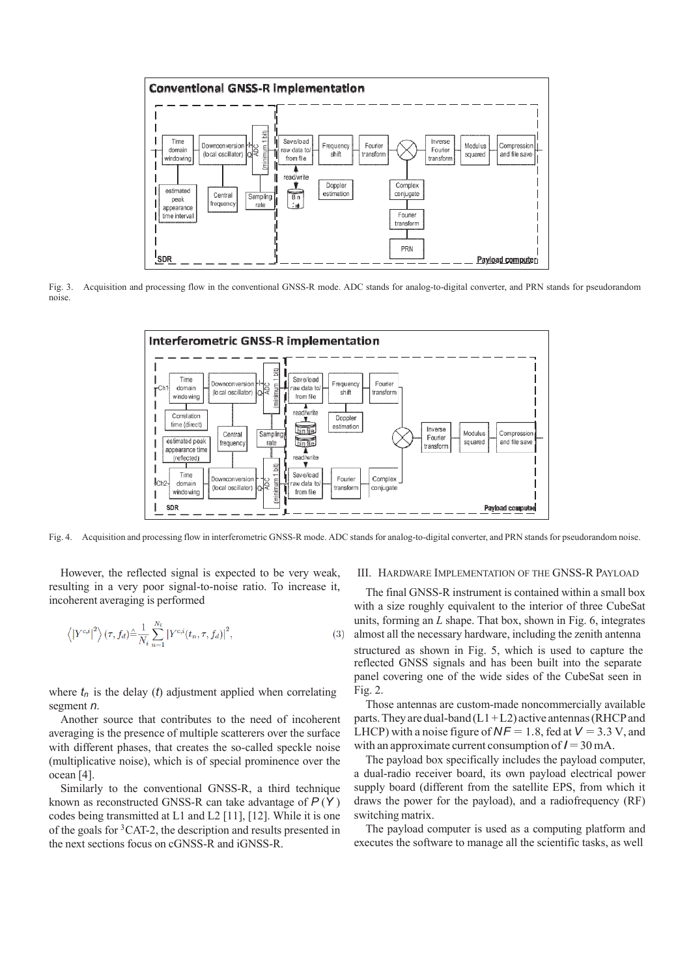

Fig. 3. Acquisition and processing flow in the conventional GNSS-R mode. ADC stands for analog-to-digital converter, and PRN stands for pseudorandom noise.



Fig. 4. Acquisition and processing flow in interferometric GNSS-R mode. ADC stands for analog-to-digital converter, and PRN stands for pseudorandom noise.

However, the reflected signal is expected to be very weak, resulting in a very poor signal-to-noise ratio. To increase it, incoherent averaging is performed

$$
\left\langle \left| Y^{c,i} \right|^2 \right\rangle (\tau, f_d) \triangleq \frac{1}{N_i} \sum_{n=1}^{N_i} \left| Y^{c,i}(t_n, \tau, f_d) \right|^2, \tag{3}
$$

where  $t_n$  is the delay (*t*) adjustment applied when correlating segment *n*.

Another source that contributes to the need of incoherent averaging is the presence of multiple scatterers over the surface with different phases, that creates the so-called speckle noise (multiplicative noise), which is of special prominence over the ocean [4].

Similarly to the conventional GNSS-R, a third technique known as reconstructed GNSS-R can take advantage of *P* (*Y* ) codes being transmitted at L1 and L2 [11], [12]. While it is one of the goals for 3CAT-2, the description and results presented in the next sections focus on cGNSS-R and iGNSS-R.

#### III. HARDWARE IMPLEMENTATION OF THE GNSS-R PAYLOAD

The final GNSS-R instrument is contained within a small box with a size roughly equivalent to the interior of three CubeSat units, forming an *L* shape. That box, shown in Fig. 6, integrates almost all the necessary hardware, including the zenith antenna structured as shown in Fig. 5, which is used to capture the reflected GNSS signals and has been built into the separate panel covering one of the wide sides of the CubeSat seen in Fig. 2.

Those antennas are custom-made noncommercially available parts. They are dual-band  $(L1 + L2)$  active antennas (RHCP and LHCP) with a noise figure of  $NF = 1.8$ , fed at  $V = 3.3$  V, and with an approximate current consumption of  $I = 30$  mA.

The payload box specifically includes the payload computer, a dual-radio receiver board, its own payload electrical power supply board (different from the satellite EPS, from which it draws the power for the payload), and a radiofrequency (RF) switching matrix.

The payload computer is used as a computing platform and executes the software to manage all the scientific tasks, as well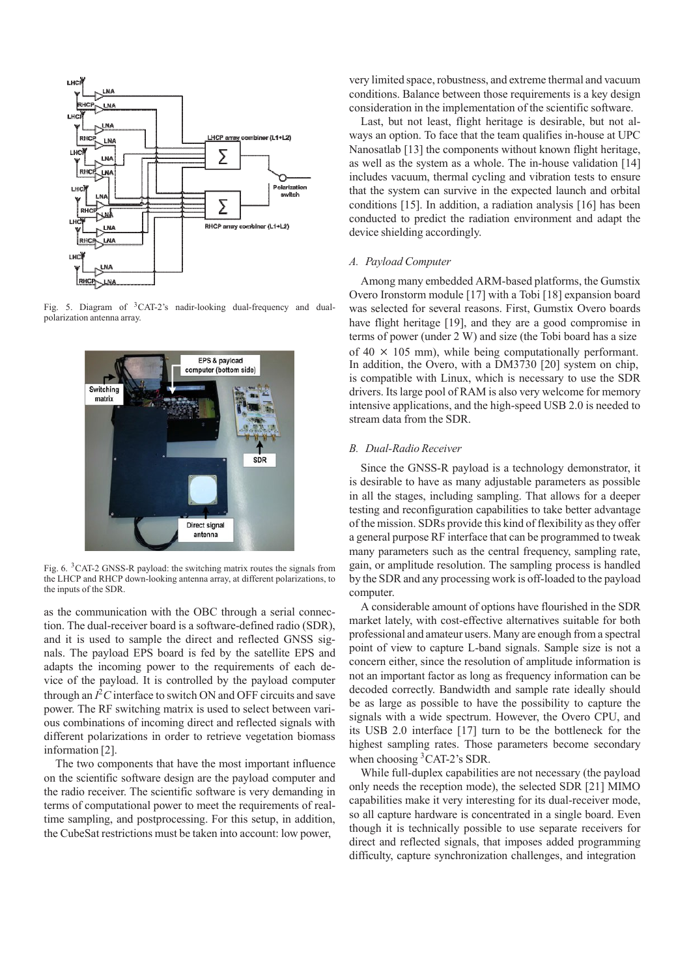

Fig. 5. Diagram of 3CAT-2's nadir-looking dual-frequency and dualpolarization antenna array.



Fig. 6. 3CAT-2 GNSS-R payload: the switching matrix routes the signals from the LHCP and RHCP down-looking antenna array, at different polarizations, to the inputs of the SDR.

as the communication with the OBC through a serial connection. The dual-receiver board is a software-defined radio (SDR), and it is used to sample the direct and reflected GNSS signals. The payload EPS board is fed by the satellite EPS and adapts the incoming power to the requirements of each device of the payload. It is controlled by the payload computer through an  $I<sup>2</sup>C$  interface to switch ON and OFF circuits and save power. The RF switching matrix is used to select between various combinations of incoming direct and reflected signals with different polarizations in order to retrieve vegetation biomass information [2].

The two components that have the most important influence on the scientific software design are the payload computer and the radio receiver. The scientific software is very demanding in terms of computational power to meet the requirements of realtime sampling, and postprocessing. For this setup, in addition, the CubeSat restrictions must be taken into account: low power,

very limited space, robustness, and extreme thermal and vacuum conditions. Balance between those requirements is a key design consideration in the implementation of the scientific software.

Last, but not least, flight heritage is desirable, but not always an option. To face that the team qualifies in-house at UPC Nanosatlab [13] the components without known flight heritage, as well as the system as a whole. The in-house validation [14] includes vacuum, thermal cycling and vibration tests to ensure that the system can survive in the expected launch and orbital conditions [15]. In addition, a radiation analysis [16] has been conducted to predict the radiation environment and adapt the device shielding accordingly.

## *A. Payload Computer*

Among many embedded ARM-based platforms, the Gumstix Overo Ironstorm module [17] with a Tobi [18] expansion board was selected for several reasons. First, Gumstix Overo boards have flight heritage [19], and they are a good compromise in terms of power (under 2 W) and size (the Tobi board has a size of 40 *×* 105 mm), while being computationally performant. In addition, the Overo, with a DM3730 [20] system on chip, is compatible with Linux, which is necessary to use the SDR drivers. Its large pool of RAM is also very welcome for memory intensive applications, and the high-speed USB 2.0 is needed to stream data from the SDR.

## *B. Dual-Radio Receiver*

Since the GNSS-R payload is a technology demonstrator, it is desirable to have as many adjustable parameters as possible in all the stages, including sampling. That allows for a deeper testing and reconfiguration capabilities to take better advantage of the mission. SDRs provide this kind of flexibility as they offer a general purpose RF interface that can be programmed to tweak many parameters such as the central frequency, sampling rate, gain, or amplitude resolution. The sampling process is handled by the SDR and any processing work is off-loaded to the payload computer.

A considerable amount of options have flourished in the SDR market lately, with cost-effective alternatives suitable for both professional and amateur users. Many are enough from a spectral point of view to capture L-band signals. Sample size is not a concern either, since the resolution of amplitude information is not an important factor as long as frequency information can be decoded correctly. Bandwidth and sample rate ideally should be as large as possible to have the possibility to capture the signals with a wide spectrum. However, the Overo CPU, and its USB 2.0 interface [17] turn to be the bottleneck for the highest sampling rates. Those parameters become secondary when choosing 3CAT-2's SDR.

While full-duplex capabilities are not necessary (the payload only needs the reception mode), the selected SDR [21] MIMO capabilities make it very interesting for its dual-receiver mode, so all capture hardware is concentrated in a single board. Even though it is technically possible to use separate receivers for direct and reflected signals, that imposes added programming difficulty, capture synchronization challenges, and integration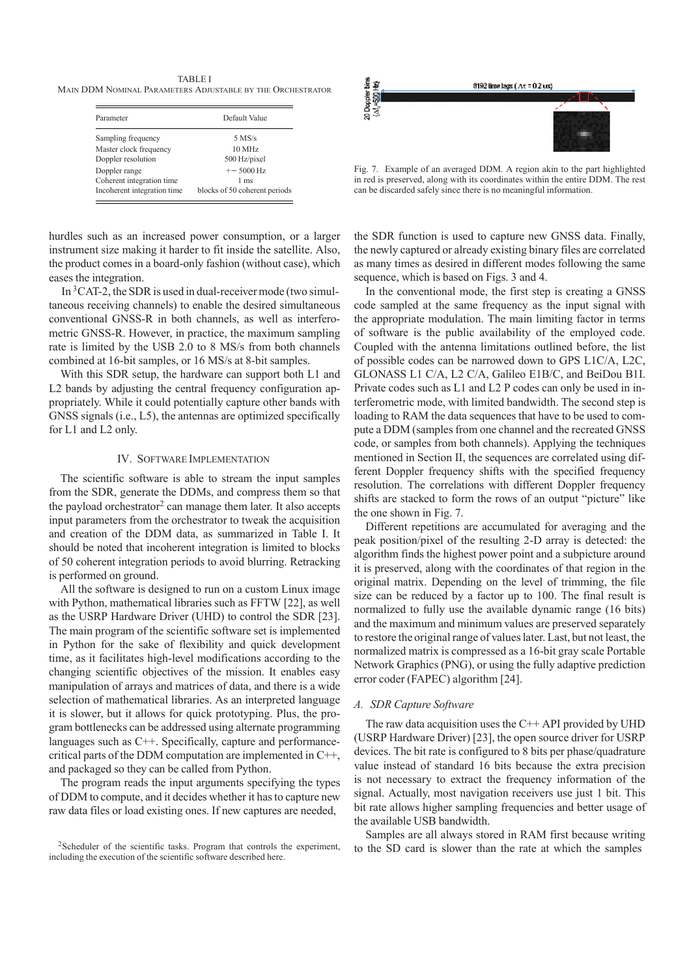TABLE I MAIN DDM NOMINAL PARAMETERS ADJUSTABLE BY THE ORCHESTRATOR

| Parameter                                  | Default Value                  |
|--------------------------------------------|--------------------------------|
| Sampling frequency                         | $5$ MS/s                       |
| Master clock frequency                     | 10 MHz                         |
| Doppler resolution                         | 500 Hz/pixel                   |
| Doppler range<br>Coherent integration time | $+- 5000 Hz$<br>$1 \text{ ms}$ |
| Incoherent integration time                | blocks of 50 coherent periods  |

hurdles such as an increased power consumption, or a larger instrument size making it harder to fit inside the satellite. Also, the product comes in a board-only fashion (without case), which eases the integration.

In 3CAT-2, the SDR is used in dual-receiver mode (two simultaneous receiving channels) to enable the desired simultaneous conventional GNSS-R in both channels, as well as interferometric GNSS-R. However, in practice, the maximum sampling rate is limited by the USB 2.0 to 8 MS/s from both channels combined at 16-bit samples, or 16 MS/s at 8-bit samples.

With this SDR setup, the hardware can support both L1 and L2 bands by adjusting the central frequency configuration appropriately. While it could potentially capture other bands with GNSS signals (i.e., L5), the antennas are optimized specifically for L1 and L2 only.

## IV. SOFTWARE IMPLEMENTATION

The scientific software is able to stream the input samples from the SDR, generate the DDMs, and compress them so that the payload orchestrator<sup>2</sup> can manage them later. It also accepts input parameters from the orchestrator to tweak the acquisition and creation of the DDM data, as summarized in Table I. It should be noted that incoherent integration is limited to blocks of 50 coherent integration periods to avoid blurring. Retracking is performed on ground.

All the software is designed to run on a custom Linux image with Python, mathematical libraries such as FFTW [22], as well as the USRP Hardware Driver (UHD) to control the SDR [23]. The main program of the scientific software set is implemented in Python for the sake of flexibility and quick development time, as it facilitates high-level modifications according to the changing scientific objectives of the mission. It enables easy manipulation of arrays and matrices of data, and there is a wide selection of mathematical libraries. As an interpreted language it is slower, but it allows for quick prototyping. Plus, the program bottlenecks can be addressed using alternate programming languages such as C++. Specifically, capture and performancecritical parts of the DDM computation are implemented in C++, and packaged so they can be called from Python.

The program reads the input arguments specifying the types of DDM to compute, and it decides whether it has to capture new raw data files or load existing ones. If new captures are needed,



Fig. 7. Example of an averaged DDM. A region akin to the part highlighted in red is preserved, along with its coordinates within the entire DDM. The rest can be discarded safely since there is no meaningful information.

the SDR function is used to capture new GNSS data. Finally, the newly captured or already existing binary files are correlated as many times as desired in different modes following the same sequence, which is based on Figs. 3 and 4.

In the conventional mode, the first step is creating a GNSS code sampled at the same frequency as the input signal with the appropriate modulation. The main limiting factor in terms of software is the public availability of the employed code. Coupled with the antenna limitations outlined before, the list of possible codes can be narrowed down to GPS L1C/A, L2C, GLONASS L1 C/A, L2 C/A, Galileo E1B/C, and BeiDou B1I. Private codes such as L1 and L2 P codes can only be used in interferometric mode, with limited bandwidth. The second step is loading to RAM the data sequences that have to be used to compute a DDM (samples from one channel and the recreated GNSS code, or samples from both channels). Applying the techniques mentioned in Section II, the sequences are correlated using different Doppler frequency shifts with the specified frequency resolution. The correlations with different Doppler frequency shifts are stacked to form the rows of an output "picture" like the one shown in Fig. 7.

Different repetitions are accumulated for averaging and the peak position/pixel of the resulting 2-D array is detected: the algorithm finds the highest power point and a subpicture around it is preserved, along with the coordinates of that region in the original matrix. Depending on the level of trimming, the file size can be reduced by a factor up to 100. The final result is normalized to fully use the available dynamic range (16 bits) and the maximum and minimum values are preserved separately to restore the original range of values later. Last, but not least, the normalized matrix is compressed as a 16-bit gray scale Portable Network Graphics (PNG), or using the fully adaptive prediction error coder (FAPEC) algorithm [24].

## *A. SDR Capture Software*

The raw data acquisition uses the  $C++$  API provided by UHD (USRP Hardware Driver) [23], the open source driver for USRP devices. The bit rate is configured to 8 bits per phase/quadrature value instead of standard 16 bits because the extra precision is not necessary to extract the frequency information of the signal. Actually, most navigation receivers use just 1 bit. This bit rate allows higher sampling frequencies and better usage of the available USB bandwidth.

Samples are all always stored in RAM first because writing to the SD card is slower than the rate at which the samples

<sup>&</sup>lt;sup>2</sup>Scheduler of the scientific tasks. Program that controls the experiment, including the execution of the scientific software described here.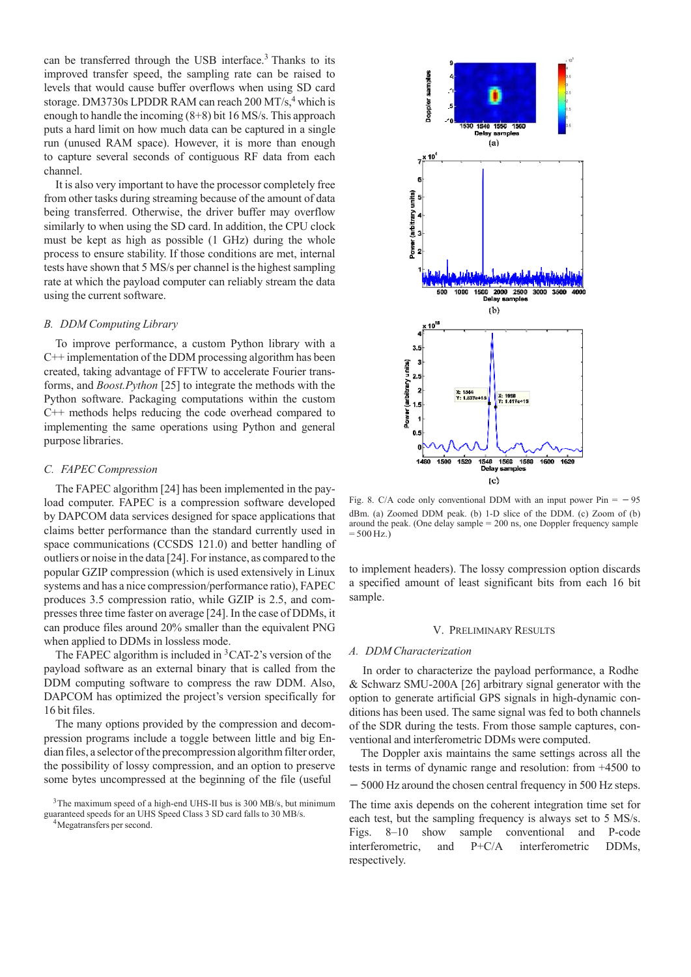can be transferred through the USB interface.<sup>3</sup> Thanks to its improved transfer speed, the sampling rate can be raised to levels that would cause buffer overflows when using SD card storage. DM3730s LPDDR RAM can reach 200 MT/s,<sup>4</sup> which is enough to handle the incoming (8+8) bit 16 MS/s. This approach puts a hard limit on how much data can be captured in a single run (unused RAM space). However, it is more than enough to capture several seconds of contiguous RF data from each channel.

It is also very important to have the processor completely free from other tasks during streaming because of the amount of data being transferred. Otherwise, the driver buffer may overflow similarly to when using the SD card. In addition, the CPU clock must be kept as high as possible (1 GHz) during the whole process to ensure stability. If those conditions are met, internal tests have shown that 5 MS/s per channel is the highest sampling rate at which the payload computer can reliably stream the data using the current software.

#### *B. DDM Computing Library*

To improve performance, a custom Python library with a C++ implementation of the DDM processing algorithm has been created, taking advantage of FFTW to accelerate Fourier transforms, and *Boost.Python* [25] to integrate the methods with the Python software. Packaging computations within the custom C++ methods helps reducing the code overhead compared to implementing the same operations using Python and general purpose libraries.

#### *C. FAPEC Compression*

The FAPEC algorithm [24] has been implemented in the payload computer. FAPEC is a compression software developed by DAPCOM data services designed for space applications that claims better performance than the standard currently used in space communications (CCSDS 121.0) and better handling of outliers or noise in the data [24]. For instance, as compared to the popular GZIP compression (which is used extensively in Linux systems and has a nice compression/performance ratio), FAPEC produces 3.5 compression ratio, while GZIP is 2.5, and compresses three time faster on average [24]. In the case of DDMs, it can produce files around 20% smaller than the equivalent PNG when applied to DDMs in lossless mode.

The FAPEC algorithm is included in  ${}^{3}$ CAT-2's version of the payload software as an external binary that is called from the DDM computing software to compress the raw DDM. Also, DAPCOM has optimized the project's version specifically for 16 bit files.

The many options provided by the compression and decompression programs include a toggle between little and big Endian files, a selector of the precompression algorithm filter order, the possibility of lossy compression, and an option to preserve some bytes uncompressed at the beginning of the file (useful



Fig. 8. C/A code only conventional DDM with an input power  $Pin = -95$ dBm. (a) Zoomed DDM peak. (b) 1-D slice of the DDM. (c) Zoom of (b) around the peak. (One delay sample = 200 ns, one Doppler frequency sample  $= 500$  Hz.)

to implement headers). The lossy compression option discards a specified amount of least significant bits from each 16 bit sample.

## V. PRELIMINARY RESULTS

#### *A. DDM Characterization*

In order to characterize the payload performance, a Rodhe & Schwarz SMU-200A [26] arbitrary signal generator with the option to generate artificial GPS signals in high-dynamic conditions has been used. The same signal was fed to both channels of the SDR during the tests. From those sample captures, conventional and interferometric DDMs were computed.

The Doppler axis maintains the same settings across all the tests in terms of dynamic range and resolution: from +4500 to

5000 Hz around the chosen central frequency in 500 Hz steps.

The time axis depends on the coherent integration time set for each test, but the sampling frequency is always set to 5 MS/s. Figs. 8–10 show sample conventional and P-code interferometric, and P+C/A interferometric DDMs, respectively.

<sup>&</sup>lt;sup>3</sup>The maximum speed of a high-end UHS-II bus is 300 MB/s, but minimum guaranteed speeds for an UHS Speed Class 3 SD card falls to 30 MB/s. 4Megatransfers per second.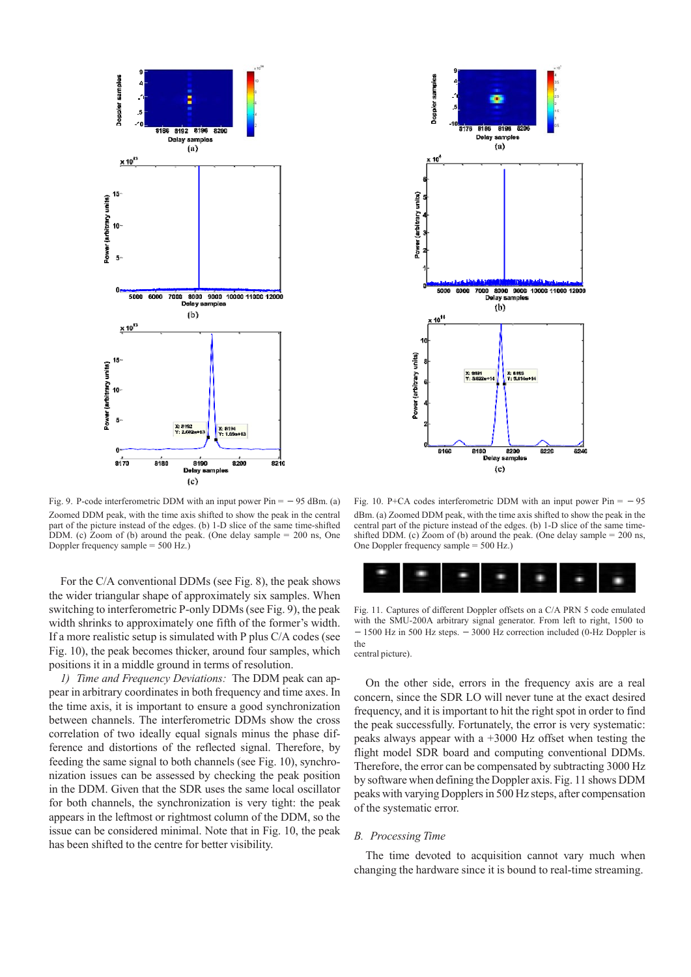

Fig. 9. P-code interferometric DDM with an input power  $Pin = -95$  dBm. (a) Zoomed DDM peak, with the time axis shifted to show the peak in the central part of the picture instead of the edges. (b) 1-D slice of the same time-shifted DDM. (c) Zoom of (b) around the peak. (One delay sample = 200 ns, One Doppler frequency sample = 500 Hz.)

For the C/A conventional DDMs (see Fig. 8), the peak shows the wider triangular shape of approximately six samples. When switching to interferometric P-only DDMs (see Fig. 9), the peak width shrinks to approximately one fifth of the former's width. If a more realistic setup is simulated with P plus C/A codes (see Fig. 10), the peak becomes thicker, around four samples, which positions it in a middle ground in terms of resolution.

*1) Time and Frequency Deviations:* The DDM peak can appear in arbitrary coordinates in both frequency and time axes. In the time axis, it is important to ensure a good synchronization between channels. The interferometric DDMs show the cross correlation of two ideally equal signals minus the phase difference and distortions of the reflected signal. Therefore, by feeding the same signal to both channels (see Fig. 10), synchronization issues can be assessed by checking the peak position in the DDM. Given that the SDR uses the same local oscillator for both channels, the synchronization is very tight: the peak appears in the leftmost or rightmost column of the DDM, so the issue can be considered minimal. Note that in Fig. 10, the peak has been shifted to the centre for better visibility.



Fig. 10. P+CA codes interferometric DDM with an input power  $Pin = -95$ dBm. (a) Zoomed DDM peak, with the time axis shifted to show the peak in the central part of the picture instead of the edges. (b) 1-D slice of the same timeshifted DDM. (c) Zoom of (b) around the peak. (One delay sample  $= 200$  ns, One Doppler frequency sample = 500 Hz.)



Fig. 11. Captures of different Doppler offsets on a C/A PRN 5 code emulated with the SMU-200A arbitrary signal generator. From left to right, 1500 to  $-1500$  Hz in 500 Hz steps.  $-3000$  Hz correction included (0-Hz Doppler is the central picture).

On the other side, errors in the frequency axis are a real concern, since the SDR LO will never tune at the exact desired frequency, and it is important to hit the right spot in order to find the peak successfully. Fortunately, the error is very systematic: peaks always appear with a +3000 Hz offset when testing the flight model SDR board and computing conventional DDMs. Therefore, the error can be compensated by subtracting 3000 Hz by software when defining the Doppler axis. Fig. 11 shows DDM peaks with varying Dopplers in 500 Hz steps, after compensation of the systematic error.

#### *B. Processing Time*

The time devoted to acquisition cannot vary much when changing the hardware since it is bound to real-time streaming.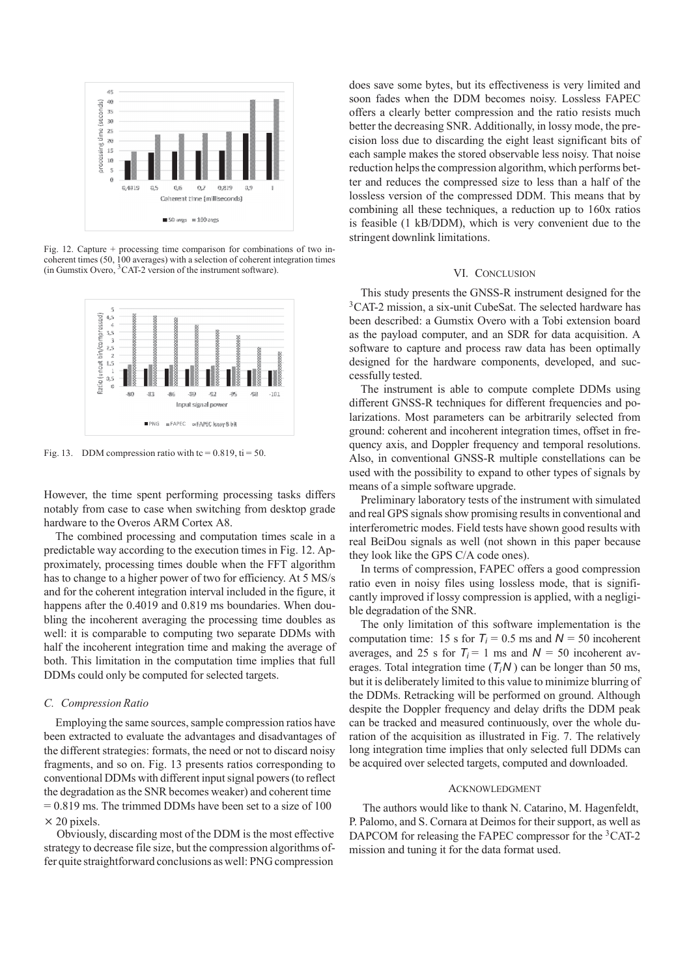

Fig. 12. Capture + processing time comparison for combinations of two incoherent times (50, 100 averages) with a selection of coherent integration times (in Gumstix Overo, 3CAT-2 version of the instrument software).



Fig. 13. DDM compression ratio with tc =  $0.819$ , ti = 50.

However, the time spent performing processing tasks differs notably from case to case when switching from desktop grade hardware to the Overos ARM Cortex A8.

The combined processing and computation times scale in a predictable way according to the execution times in Fig. 12. Approximately, processing times double when the FFT algorithm has to change to a higher power of two for efficiency. At 5 MS/s and for the coherent integration interval included in the figure, it happens after the 0.4019 and 0.819 ms boundaries. When doubling the incoherent averaging the processing time doubles as well: it is comparable to computing two separate DDMs with half the incoherent integration time and making the average of both. This limitation in the computation time implies that full DDMs could only be computed for selected targets.

## *C. Compression Ratio*

Employing the same sources, sample compression ratios have been extracted to evaluate the advantages and disadvantages of the different strategies: formats, the need or not to discard noisy fragments, and so on. Fig. 13 presents ratios corresponding to conventional DDMs with different input signal powers (to reflect the degradation as the SNR becomes weaker) and coherent time  $= 0.819$  ms. The trimmed DDMs have been set to a size of 100 *×* 20 pixels.

Obviously, discarding most of the DDM is the most effective strategy to decrease file size, but the compression algorithms offer quite straightforward conclusions as well: PNG compression

does save some bytes, but its effectiveness is very limited and soon fades when the DDM becomes noisy. Lossless FAPEC offers a clearly better compression and the ratio resists much better the decreasing SNR. Additionally, in lossy mode, the precision loss due to discarding the eight least significant bits of each sample makes the stored observable less noisy. That noise reduction helps the compression algorithm, which performs better and reduces the compressed size to less than a half of the lossless version of the compressed DDM. This means that by combining all these techniques, a reduction up to 160x ratios is feasible (1 kB/DDM), which is very convenient due to the stringent downlink limitations.

### VI. CONCLUSION

This study presents the GNSS-R instrument designed for the <sup>3</sup>CAT-2 mission, a six-unit CubeSat. The selected hardware has been described: a Gumstix Overo with a Tobi extension board as the payload computer, and an SDR for data acquisition. A software to capture and process raw data has been optimally designed for the hardware components, developed, and successfully tested.

The instrument is able to compute complete DDMs using different GNSS-R techniques for different frequencies and polarizations. Most parameters can be arbitrarily selected from ground: coherent and incoherent integration times, offset in frequency axis, and Doppler frequency and temporal resolutions. Also, in conventional GNSS-R multiple constellations can be used with the possibility to expand to other types of signals by means of a simple software upgrade.

Preliminary laboratory tests of the instrument with simulated and real GPS signals show promising results in conventional and interferometric modes. Field tests have shown good results with real BeiDou signals as well (not shown in this paper because they look like the GPS C/A code ones).

In terms of compression, FAPEC offers a good compression ratio even in noisy files using lossless mode, that is significantly improved if lossy compression is applied, with a negligible degradation of the SNR.

The only limitation of this software implementation is the computation time: 15 s for  $T_i = 0.5$  ms and  $N = 50$  incoherent averages, and 25 s for  $T_i = 1$  ms and  $N = 50$  incoherent averages. Total integration time  $(T_i N)$  can be longer than 50 ms, but it is deliberately limited to this value to minimize blurring of the DDMs. Retracking will be performed on ground. Although despite the Doppler frequency and delay drifts the DDM peak can be tracked and measured continuously, over the whole duration of the acquisition as illustrated in Fig. 7. The relatively long integration time implies that only selected full DDMs can be acquired over selected targets, computed and downloaded.

#### ACKNOWLEDGMENT

The authors would like to thank N. Catarino, M. Hagenfeldt, P. Palomo, and S. Cornara at Deimos for their support, as well as DAPCOM for releasing the FAPEC compressor for the <sup>3</sup>CAT-2 mission and tuning it for the data format used.